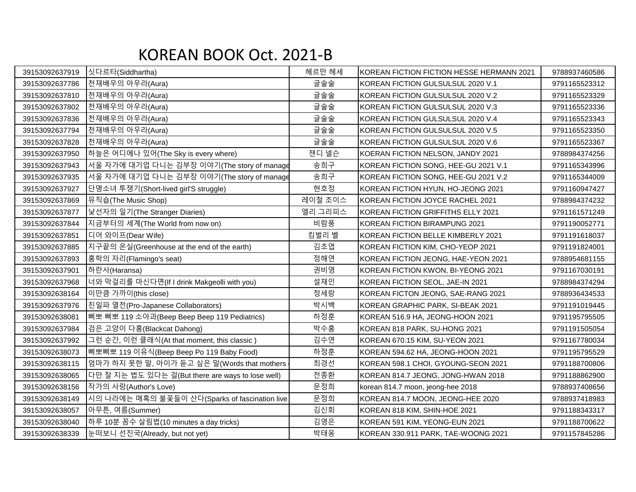## KOREAN BOOK Oct. 2021-B

| 39153092637919 | 싯다르타(Siddhartha)                                  | 헤르만 헤세  | KOREAN FICTION FICTION HESSE HERMANN 2021 | 9788937460586 |
|----------------|---------------------------------------------------|---------|-------------------------------------------|---------------|
| 39153092637786 | 천재배우의 아우라(Aura)                                   | 글술술     | KOREAN FICTION GULSULSUL 2020 V.1         | 9791165523312 |
| 39153092637810 | 천재배우의 아우라(Aura)                                   | 글술술     | KOREAN FICTION GULSULSUL 2020 V.2         | 9791165523329 |
| 39153092637802 | 천재배우의 아우라(Aura)                                   | 글술술     | KOREAN FICTION GULSULSUL 2020 V.3         | 9791165523336 |
| 39153092637836 | 천재배우의 아우라(Aura)                                   | 글술술     | KOREAN FICTION GULSULSUL 2020 V.4         | 9791165523343 |
| 39153092637794 | 천재배우의 아우라(Aura)                                   | 글술술     | KOREAN FICTION GULSULSUL 2020 V.5         | 9791165523350 |
| 39153092637828 | 한재배우의 아우라(Aura)                                   | 글술술     | KOREAN FICTION GULSULSUL 2020 V.6         | 9791165523367 |
| 39153092637950 | 하늘은 어디에나 있어(The Sky is every where)               | 잰디 넬슨   | KOERAN FICTION NELSON, JANDY 2021         | 9788984374256 |
| 39153092637943 | 서울 자가에 대기업 다니는 김부장 이야기(The story of manage        | 송희구     | KOREAN FICTION SONG, HEE-GU 2021 V.1      | 9791165343996 |
| 39153092637935 | 서울 자가에 대기업 다니는 김부장 이야기(The story of manage        | 송희구     | KOREAN FICTION SONG, HEE-GU 2021 V.2      | 9791165344009 |
| 39153092637927 | 단명소녀 투쟁기(Short-lived girl'S struggle)             | 현호정     | KOREAN FICTION HYUN, HO-JEONG 2021        | 9791160947427 |
| 39153092637869 | 뮤직숍(The Music Shop)                               | 레이철 조이스 | KOREAN FICTION JOYCE RACHEL 2021          | 9788984374232 |
| 39153092637877 | 낯선자의 일기(The Stranger Diaries)                     | 엘리 그리피스 | KOREAN FICTION GRIFFITHS ELLY 2021        | 9791161571249 |
| 39153092637844 | 지금부터의 세계(The World from now on)                   | 비람풍     | KOREAN FICTION BIRAMPUNG 2021             | 9791190052771 |
| 39153092637851 | 디어 와이프(Dear Wife)                                 | 킴벌리 벨   | KOREAN FICTION BELLE KIMBERLY 2021        | 9791191618037 |
| 39153092637885 | 지구끝의 온실(Greenhouse at the end of the earth)       | 김초엽     | KOREAN FICTION KIM, CHO-YEOP 2021         | 9791191824001 |
| 39153092637893 | 홍학의 자리(Flamingo's seat)                           | 정해연     | KOREAN FICTION JEONG, HAE-YEON 2021       | 9788954681155 |
| 39153092637901 | 하란사(Haransa)                                      | 권비영     | KOREAN FICTION KWON, BI-YEONG 2021        | 9791167030191 |
| 39153092637968 | 너와 막걸리를 마신다면(If I drink Makgeolli with you)       | 설재인     | KOREAN FICTION SEOL, JAE-IN 2021          | 9788984374294 |
| 39153092638164 | 이만큼 가까이(this close)                               | 정세랑     | KOREAN FICTON JEONG, SAE-RANG 2021        | 9788936434533 |
| 39153092637976 | 친일파 열전(Pro-Japanese Collaborators)                | 박시백     | KOREAN GRAPHIC PARK, SI-BEAK 2021         | 9791191019445 |
| 39153092638081 | 삐뽀 삐뽀 119 소아과(Beep Beep Beep 119 Pediatrics)      | 하정훈     | KOREAN 516.9 HA, JEONG-HOON 2021          | 9791195795505 |
| 39153092637984 | 검은 고양이 다홍(Blackcat Dahong)                        | 박수홍     | KOREAN 818 PARK, SU-HONG 2021             | 9791191505054 |
| 39153092637992 | 그런 순간, 이런 클래식(At that moment, this classic)       | 김수연     | KOREAN 670.15 KIM, SU-YEON 2021           | 9791167780034 |
| 39153092638073 | 삐뽀삐뽀 119 이유식(Beep Beep Po 119 Baby Food)          | 하정훈     | KOREAN 594.62 HA, JEONG-HOON 2021         | 9791195795529 |
| 39153092638115 | 엄마가 하지 못한 말, 아이가 듣고 싶은 말(Words that mothers       | 최경선     | KOREAN 598.1 CHOI, GYOUNG-SEON 2021       | 9791188700806 |
| 39153092638065 | 다만 잘 지는 법도 있다는 걸(But there are ways to lose well) | 전종환     | KOREAN 814.7 JEONG, JONG-HWAN 2018        | 9791188862900 |
| 39153092638156 | 작가의 사랑(Author's Love)                             | 문정희     | korean 814.7 moon, jeong-hee 2018         | 9788937408656 |
| 39153092638149 | 시의 나라에는 매혹의 불꽃들이 산다(Sparks of fascination live    | 문정희     | KOREAN 814.7 MOON, JEONG-HEE 2020         | 9788937418983 |
| 39153092638057 | 아무튼, 여름(Summer)                                   | 김신회     | KOREAN 818 KIM, SHIN-HOE 2021             | 9791188343317 |
| 39153092638040 | 하루 10분 꼼수 살림법(10 minutes a day tricks)            | 김영은     | KOREAN 591 KIM, YEONG-EUN 2021            | 9791188700622 |
| 39153092638339 | 눈떠보니 선진국(Already, but not yet)                    | 박태웅     | KOREAN 330.911 PARK, TAE-WOONG 2021       | 9791157845286 |